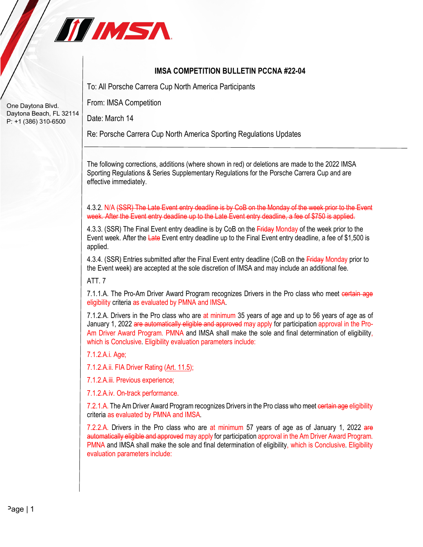

## **IMSA COMPETITION BULLETIN PCCNA #22-04**

To: All Porsche Carrera Cup North America Participants

From: IMSA Competition

Date: March 14

Re: Porsche Carrera Cup North America Sporting Regulations Updates

The following corrections, additions (where shown in red) or deletions are made to the 2022 IMSA Sporting Regulations & Series Supplementary Regulations for the Porsche Carrera Cup and are effective immediately.

4.3.2. N/A (SSR) The Late Event entry deadline is by CoB on the Monday of the week prior to the Event week. After the Event entry deadline up to the Late Event entry deadline, a fee of \$750 is applied.

4.3.3. (SSR) The Final Event entry deadline is by CoB on the Friday Monday of the week prior to the Event week. After the Late Event entry deadline up to the Final Event entry deadline, a fee of \$1,500 is applied.

4.3.4. (SSR) Entries submitted after the Final Event entry deadline (CoB on the Friday Monday prior to the Event week) are accepted at the sole discretion of IMSA and may include an additional fee.

ATT. 7

7.1.1.A. The Pro-Am Driver Award Program recognizes Drivers in the Pro class who meet certain age eligibility criteria as evaluated by PMNA and IMSA.

7.1.2.A. Drivers in the Pro class who are at minimum 35 years of age and up to 56 years of age as of January 1, 2022 are automatically eligible and approved may apply for participation approval in the Pro-Am Driver Award Program. PMNA and IMSA shall make the sole and final determination of eligibility, which is Conclusive. Eligibility evaluation parameters include:

7.1.2.A.i. Age;

7.1.2.A.ii. FIA Driver Rating (Art. 11.5);

7.1.2.A.iii. Previous experience;

7.1.2.A.iv. On-track performance.

7.2.1.A. The Am Driver Award Program recognizes Drivers in the Pro class who meet certain age eligibility criteria as evaluated by PMNA and IMSA.

7.2.2.A. Drivers in the Pro class who are at minimum 57 years of age as of January 1, 2022 are automatically eligible and approved may apply for participation approval in the Am Driver Award Program. PMNA and IMSA shall make the sole and final determination of eligibility, which is Conclusive. Eligibility evaluation parameters include:

One Daytona Blvd. Daytona Beach, FL 32114 P: +1 (386) 310-6500